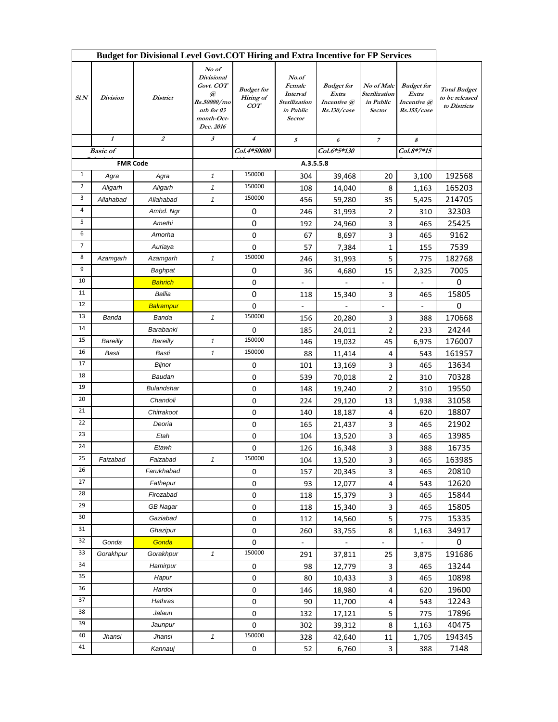| Budget for Divisional Level Govt.COT Hiring and Extra Incentive for FP Services |                           |                   |                                                                                                      |                                       |                                                                            |                                                          |                                                           |                                                          |                                                       |
|---------------------------------------------------------------------------------|---------------------------|-------------------|------------------------------------------------------------------------------------------------------|---------------------------------------|----------------------------------------------------------------------------|----------------------------------------------------------|-----------------------------------------------------------|----------------------------------------------------------|-------------------------------------------------------|
| SLN                                                                             | <b>Division</b>           | <b>District</b>   | No of<br><b>Divisional</b><br>Govt. COT<br>@<br>Rs.50000/mo<br>nth for 03<br>month-Oct-<br>Dec. 2016 | <b>Budget</b> for<br>Hiring of<br>COT | No.of<br>Female<br>Interval<br>Sterilization<br>in Public<br><b>Sector</b> | <b>Budget</b> for<br>Extra<br>Incentive @<br>Rs.130/case | No of Male<br>Sterilization<br>in Public<br><b>Sector</b> | <b>Budget</b> for<br>Extra<br>Incentive @<br>Rs.155/case | <b>Total Budget</b><br>to be released<br>to Districts |
|                                                                                 | $\boldsymbol{\mathit{1}}$ | $\boldsymbol{z}$  | 3                                                                                                    | $\boldsymbol{4}$                      | 5                                                                          | 6                                                        | $\boldsymbol{7}$                                          | 8                                                        |                                                       |
|                                                                                 | <b>Basic</b> of           |                   |                                                                                                      | Col.4*50000                           |                                                                            | Col.6*5*130                                              |                                                           | Col.8*7*15                                               |                                                       |
| <b>FMR Code</b>                                                                 |                           |                   |                                                                                                      | A.3.5.5.8                             |                                                                            |                                                          |                                                           |                                                          |                                                       |
| $\mathbf{1}$                                                                    | Agra                      | Agra              | 1                                                                                                    | 150000                                | 304                                                                        | 39,468                                                   | 20                                                        | 3,100                                                    | 192568                                                |
| $\overline{2}$                                                                  | Aligarh                   | Aligarh           | 1                                                                                                    | 150000                                | 108                                                                        | 14,040                                                   | 8                                                         | 1,163                                                    | 165203                                                |
| 3                                                                               | Allahabad                 | Allahabad         | 1                                                                                                    | 150000                                | 456                                                                        | 59,280                                                   | 35                                                        | 5,425                                                    | 214705                                                |
| 4                                                                               |                           | Ambd. Ngr         |                                                                                                      | 0                                     | 246                                                                        | 31,993                                                   | 2                                                         | 310                                                      | 32303                                                 |
| 5                                                                               |                           | Amethi            |                                                                                                      | 0                                     | 192                                                                        | 24,960                                                   | 3                                                         | 465                                                      | 25425                                                 |
| 6                                                                               |                           | Amorha            |                                                                                                      | 0                                     | 67                                                                         | 8,697                                                    | 3                                                         | 465                                                      | 9162                                                  |
| $\overline{7}$                                                                  |                           | Auriaya           |                                                                                                      | $\mathbf 0$                           | 57                                                                         | 7,384                                                    | $\mathbf{1}$                                              | 155                                                      | 7539                                                  |
| 8                                                                               | Azamgarh                  | Azamgarh          | 1                                                                                                    | 150000                                | 246                                                                        | 31,993                                                   | 5                                                         | 775                                                      | 182768                                                |
| 9                                                                               |                           | Baghpat           |                                                                                                      | 0                                     | 36                                                                         | 4,680                                                    | 15                                                        | 2,325                                                    | 7005                                                  |
| 10                                                                              |                           | <b>Bahrich</b>    |                                                                                                      | 0                                     | ÷,                                                                         |                                                          | ÷,                                                        |                                                          | $\pmb{0}$                                             |
| 11                                                                              |                           | Ballia            |                                                                                                      | 0                                     | 118                                                                        | 15,340                                                   | 3                                                         | 465                                                      | 15805                                                 |
| 12                                                                              |                           | Balrampur         |                                                                                                      | 0                                     |                                                                            |                                                          |                                                           |                                                          | 0                                                     |
| 13                                                                              | Banda                     | Banda             | $\mathbf{1}$                                                                                         | 150000                                | 156                                                                        | 20,280                                                   | 3                                                         | 388                                                      | 170668                                                |
| 14                                                                              |                           | Barabanki         |                                                                                                      | 0                                     | 185                                                                        | 24,011                                                   | $\overline{2}$                                            | 233                                                      | 24244                                                 |
| 15                                                                              | Bareilly                  | Bareilly          | 1                                                                                                    | 150000                                | 146                                                                        | 19,032                                                   | 45                                                        | 6,975                                                    | 176007                                                |
| 16                                                                              | Basti                     | Basti             | $\mathbf{1}$                                                                                         | 150000                                | 88                                                                         | 11,414                                                   | 4                                                         | 543                                                      | 161957                                                |
| 17                                                                              |                           | <b>Bijnor</b>     |                                                                                                      | 0                                     | 101                                                                        | 13,169                                                   | 3                                                         | 465                                                      | 13634                                                 |
| 18                                                                              |                           | Baudan            |                                                                                                      | 0                                     | 539                                                                        | 70,018                                                   | $\mathbf{2}$                                              | 310                                                      | 70328                                                 |
| 19                                                                              |                           | <b>Bulandshar</b> |                                                                                                      | 0                                     | 148                                                                        | 19,240                                                   | $\overline{2}$                                            | 310                                                      | 19550                                                 |
| 20                                                                              |                           | Chandoli          |                                                                                                      | 0                                     | 224                                                                        | 29,120                                                   | 13                                                        | 1,938                                                    | 31058                                                 |
| 21                                                                              |                           | Chitrakoot        |                                                                                                      | 0                                     | 140                                                                        | 18,187                                                   | 4                                                         | 620                                                      | 18807                                                 |
| 22                                                                              |                           | Deoria            |                                                                                                      | 0                                     | 165                                                                        | 21,437                                                   | 3                                                         | 465                                                      | 21902                                                 |
| 23                                                                              |                           | Etah              |                                                                                                      | 0                                     | 104                                                                        | 13,520                                                   | 3                                                         | 465                                                      | 13985                                                 |
| 24                                                                              |                           | Etawh             |                                                                                                      | 0                                     | 126                                                                        | 16,348                                                   | 3                                                         | 388                                                      | 16735                                                 |
| 25                                                                              | Faizabad                  | Faizabad          |                                                                                                      | 150000                                | 104                                                                        | 13,520                                                   | 3                                                         | 465                                                      | 163985                                                |
| 26                                                                              |                           | Farukhabad        |                                                                                                      | 0                                     | 157                                                                        | 20,345                                                   | 3                                                         | 465                                                      | 20810                                                 |
| 27                                                                              |                           | Fathepur          |                                                                                                      | 0                                     | 93                                                                         | 12,077                                                   | 4                                                         | 543                                                      | 12620                                                 |
| 28                                                                              |                           | Firozabad         |                                                                                                      | $\mathbf 0$                           | 118                                                                        | 15,379                                                   | 3                                                         | 465                                                      | 15844                                                 |
| 29                                                                              |                           | <b>GB Nagar</b>   |                                                                                                      | 0                                     | 118                                                                        | 15,340                                                   | 3                                                         | 465                                                      | 15805                                                 |
| 30                                                                              |                           | Gaziabad          |                                                                                                      | 0                                     | 112                                                                        | 14,560                                                   | 5                                                         | 775                                                      | 15335                                                 |
| 31                                                                              |                           | Ghazipur          |                                                                                                      | 0                                     | 260                                                                        | 33,755                                                   | 8                                                         | 1,163                                                    | 34917                                                 |
| 32                                                                              | Gonda                     | Gonda             |                                                                                                      | $\pmb{0}$                             |                                                                            |                                                          |                                                           |                                                          | $\pmb{0}$                                             |
| 33                                                                              | Gorakhpur                 | Gorakhpur         | 1                                                                                                    | 150000                                | 291                                                                        | 37,811                                                   | 25                                                        | 3,875                                                    | 191686                                                |
| 34                                                                              |                           | Hamirpur          |                                                                                                      | 0                                     | 98                                                                         | 12,779                                                   | 3                                                         | 465                                                      | 13244                                                 |
| 35                                                                              |                           | Hapur             |                                                                                                      | $\pmb{0}$                             | 80                                                                         | 10,433                                                   | 3                                                         | 465                                                      | 10898                                                 |
| 36                                                                              |                           | Hardoi            |                                                                                                      | 0                                     | 146                                                                        | 18,980                                                   | 4                                                         | 620                                                      | 19600                                                 |
| 37                                                                              |                           | Hathras           |                                                                                                      | 0                                     | 90                                                                         | 11,700                                                   | $\overline{4}$                                            | 543                                                      | 12243                                                 |
| 38                                                                              |                           | Jalaun            |                                                                                                      | $\pmb{0}$                             | 132                                                                        | 17,121                                                   | 5                                                         | 775                                                      | 17896                                                 |
| 39                                                                              |                           | Jaunpur           |                                                                                                      | 0                                     | 302                                                                        | 39,312                                                   | 8                                                         | 1,163                                                    | 40475                                                 |
| 40                                                                              | Jhansi                    | Jhansi            | 1                                                                                                    | 150000                                | 328                                                                        | 42,640                                                   | 11                                                        | 1,705                                                    | 194345                                                |
| 41                                                                              |                           | Kannauj           |                                                                                                      | 0                                     | 52                                                                         | 6,760                                                    | 3                                                         | 388                                                      | 7148                                                  |